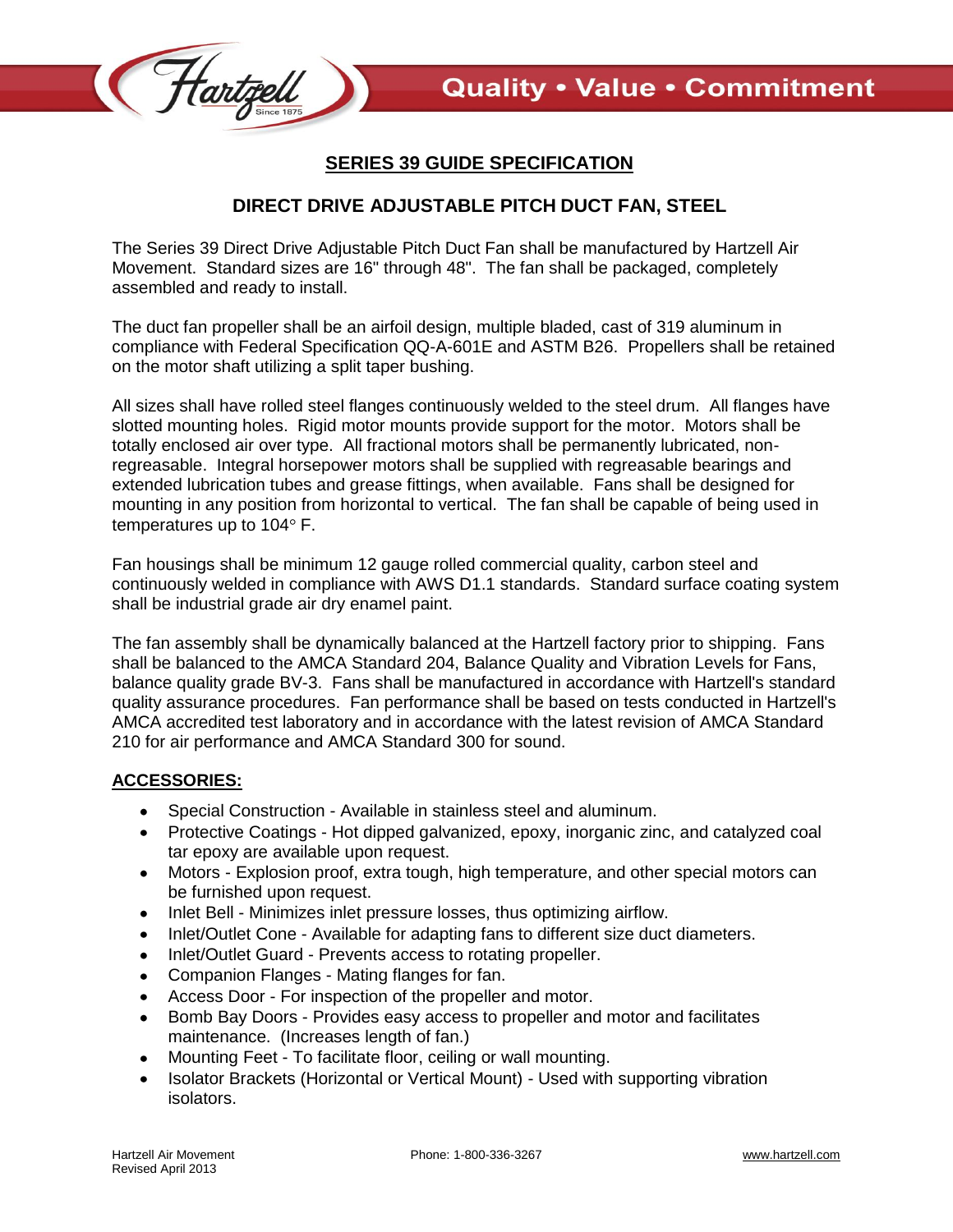

## **SERIES 39 GUIDE SPECIFICATION**

## **DIRECT DRIVE ADJUSTABLE PITCH DUCT FAN, STEEL**

The Series 39 Direct Drive Adjustable Pitch Duct Fan shall be manufactured by Hartzell Air Movement. Standard sizes are 16" through 48". The fan shall be packaged, completely assembled and ready to install.

The duct fan propeller shall be an airfoil design, multiple bladed, cast of 319 aluminum in compliance with Federal Specification QQ-A-601E and ASTM B26. Propellers shall be retained on the motor shaft utilizing a split taper bushing.

All sizes shall have rolled steel flanges continuously welded to the steel drum. All flanges have slotted mounting holes. Rigid motor mounts provide support for the motor. Motors shall be totally enclosed air over type. All fractional motors shall be permanently lubricated, nonregreasable. Integral horsepower motors shall be supplied with regreasable bearings and extended lubrication tubes and grease fittings, when available. Fans shall be designed for mounting in any position from horizontal to vertical. The fan shall be capable of being used in temperatures up to  $104^\circ$  F.

Fan housings shall be minimum 12 gauge rolled commercial quality, carbon steel and continuously welded in compliance with AWS D1.1 standards. Standard surface coating system shall be industrial grade air dry enamel paint.

The fan assembly shall be dynamically balanced at the Hartzell factory prior to shipping. Fans shall be balanced to the AMCA Standard 204, Balance Quality and Vibration Levels for Fans, balance quality grade BV-3. Fans shall be manufactured in accordance with Hartzell's standard quality assurance procedures. Fan performance shall be based on tests conducted in Hartzell's AMCA accredited test laboratory and in accordance with the latest revision of AMCA Standard 210 for air performance and AMCA Standard 300 for sound.

## **ACCESSORIES:**

- Special Construction Available in stainless steel and aluminum.
- Protective Coatings Hot dipped galvanized, epoxy, inorganic zinc, and catalyzed coal tar epoxy are available upon request.
- Motors Explosion proof, extra tough, high temperature, and other special motors can be furnished upon request.
- Inlet Bell Minimizes inlet pressure losses, thus optimizing airflow.
- Inlet/Outlet Cone Available for adapting fans to different size duct diameters.
- Inlet/Outlet Guard Prevents access to rotating propeller.
- Companion Flanges Mating flanges for fan.
- Access Door For inspection of the propeller and motor.
- Bomb Bay Doors Provides easy access to propeller and motor and facilitates maintenance. (Increases length of fan.)
- Mounting Feet To facilitate floor, ceiling or wall mounting.  $\bullet$
- Isolator Brackets (Horizontal or Vertical Mount) Used with supporting vibration isolators.